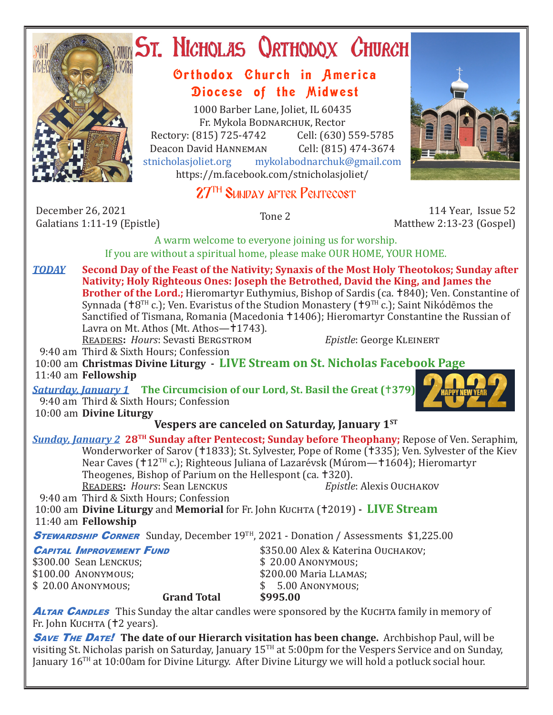

# **ST. NICHOLAS QRTHODOX CHURCH**

# Orthodox Church in America Diocese of the Midwest

1000 Barber Lane, Joliet, IL 60435 Fr. Mykola Bodnarchuk, Rector Rectory: (815) 725-4742 Cell: (630) 559-5785<br>Deacon David HANNEMAN Cell: (815) 474-3674 Deacon David HANNEMAN<br>stnicholasioliet.org mykola mykolabodnarchuk@gmail.com https://m.facebook.com/stnicholasjoliet/

# 27<sup>TH</sup> SUNDAY AFTER PENTECOST

December 26, 2021<br>Galatians 1:11-19 (Epistle)

Galatians 1:11-19 (Epistle) Tone 2 114 Year, Issue 52 Matthew 2:13-23 (Gospel)

A warm welcome to everyone joining us for worship. If you are without a spiritual home, please make OUR HOME, YOUR HOME.

*TODAY* **Second Day of the Feast of the Nativity; Synaxis of the Most Holy Theotokos; Sunday after Nativity; Holy Righteous Ones: Joseph the Betrothed, David the King, and James the Brother of the Lord.;** Hieromartyr Euthymius, Bishop of Sardis (ca. †840); Ven. Constantine of Synnada ( $8^{TH}$  c.); Ven. Evaristus of the Studion Monastery ( $9^{TH}$  c.); Saint Nikódēmos the Sanctified of Tismana, Romania (Macedonia †1406); Hieromartyr Constantine the Russian of Lavra on Mt. Athos (Mt. Athos—†1743). Readers**:** *Hours*: Sevasti Bergstrom *Epistle*: George Kleinert

9:40 am Third & Sixth Hours; Confession

 10:00 am **Christmas Divine Liturgy - LIVE Stream on St. Nicholas Facebook Page** 11:40 am **Fellowship**

*Saturday, January 1* **The Circumcision of our Lord, St. Basil the Great (379)** 9:40 am Third & Sixth Hours; Confession 10:00 am **Divine Liturgy**



## **Vespers are canceled on Saturday, January 1ST**

*Sunday, January 2* **28TH Sunday after Pentecost; Sunday before Theophany;** Repose of Ven. Seraphim, Wonderworker of Sarov (†1833); St. Sylvester, Pope of Rome (†335); Ven. Sylvester of the Kiev Near Caves (†12<sup>TH</sup> c.); Righteous Juliana of Lazarévsk (Múrom—†1604); Hieromartyr Theogenes, Bishop of Parium on the Hellespont (ca. †320).<br>READERS: Hours: Sean LENCKUS Epistle: Alexis OUCHAKOV **READERS: Hours: Sean LENCKUS** 

9:40 am Third & Sixth Hours; Confession

10:00 am **Divine Liturgy** and **Memorial** for Fr. John Kuchta (†2019) - LIVE Stream 11:40 am **Fellowship**

**Grand Total** 

**STEWARDSHIP CORNER** Sunday, December 19<sup>TH</sup>, 2021 - Donation / Assessments \$1,225.00

|  | <b>CAPITAL IMPROVEMENT FUND</b> |  |
|--|---------------------------------|--|
|--|---------------------------------|--|

\$300.00 Sean LENCKUS;<br>\$100.00 ANONYMOUS:  $$ 20.00$  Anonymous;<br>**6** Grand Total 6995.00

\$350.00 Alex & Katerina Ouchakov;<br>\$20.00 ANONYMOUS; \$200.00 Maria LLAMAS;<br>\$200 ANONYMOUS:

**ALTAR CANDLES** This Sunday the altar candles were sponsored by the KUCHTA family in memory of Fr. John Kuchta († 2 years).

**SAVE THE DATE!** The date of our Hierarch visitation has been change. Archbishop Paul, will be visiting St. Nicholas parish on Saturday, January 15TH at 5:00pm for the Vespers Service and on Sunday, January 16TH at 10:00am for Divine Liturgy. After Divine Liturgy we will hold a potluck social hour.